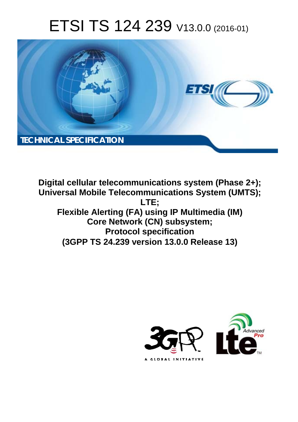# ETSI TS 124 239 V13.0.0 (2016-01)



**Digital cellular telecommunications system (Phase 2+); Universal Mobile Tel elecommunications System ( (UMTS); Flexible Alerting (FA) using IP Multimedia (IM)** Core Network (CN) subsystem; **Prot rotocol specification (3GPP TS 24.2 .239 version 13.0.0 Release 13 13) LTE;** 

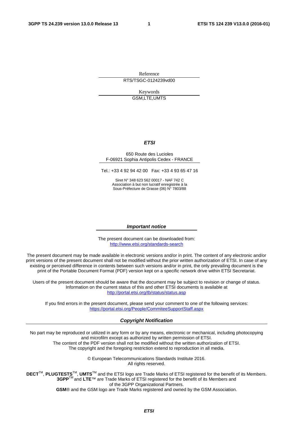Reference RTS/TSGC-0124239vd00

> Keywords GSM,LTE,UMTS

#### *ETSI*

#### 650 Route des Lucioles F-06921 Sophia Antipolis Cedex - FRANCE

Tel.: +33 4 92 94 42 00 Fax: +33 4 93 65 47 16

Siret N° 348 623 562 00017 - NAF 742 C Association à but non lucratif enregistrée à la Sous-Préfecture de Grasse (06) N° 7803/88

#### *Important notice*

The present document can be downloaded from: <http://www.etsi.org/standards-search>

The present document may be made available in electronic versions and/or in print. The content of any electronic and/or print versions of the present document shall not be modified without the prior written authorization of ETSI. In case of any existing or perceived difference in contents between such versions and/or in print, the only prevailing document is the print of the Portable Document Format (PDF) version kept on a specific network drive within ETSI Secretariat.

Users of the present document should be aware that the document may be subject to revision or change of status. Information on the current status of this and other ETSI documents is available at <http://portal.etsi.org/tb/status/status.asp>

If you find errors in the present document, please send your comment to one of the following services: <https://portal.etsi.org/People/CommiteeSupportStaff.aspx>

#### *Copyright Notification*

No part may be reproduced or utilized in any form or by any means, electronic or mechanical, including photocopying and microfilm except as authorized by written permission of ETSI.

The content of the PDF version shall not be modified without the written authorization of ETSI. The copyright and the foregoing restriction extend to reproduction in all media.

> © European Telecommunications Standards Institute 2016. All rights reserved.

**DECT**TM, **PLUGTESTS**TM, **UMTS**TM and the ETSI logo are Trade Marks of ETSI registered for the benefit of its Members. **3GPP**TM and **LTE**™ are Trade Marks of ETSI registered for the benefit of its Members and of the 3GPP Organizational Partners.

**GSM**® and the GSM logo are Trade Marks registered and owned by the GSM Association.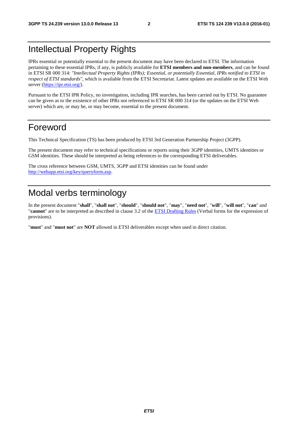## Intellectual Property Rights

IPRs essential or potentially essential to the present document may have been declared to ETSI. The information pertaining to these essential IPRs, if any, is publicly available for **ETSI members and non-members**, and can be found in ETSI SR 000 314: *"Intellectual Property Rights (IPRs); Essential, or potentially Essential, IPRs notified to ETSI in respect of ETSI standards"*, which is available from the ETSI Secretariat. Latest updates are available on the ETSI Web server [\(https://ipr.etsi.org/](https://ipr.etsi.org/)).

Pursuant to the ETSI IPR Policy, no investigation, including IPR searches, has been carried out by ETSI. No guarantee can be given as to the existence of other IPRs not referenced in ETSI SR 000 314 (or the updates on the ETSI Web server) which are, or may be, or may become, essential to the present document.

## Foreword

This Technical Specification (TS) has been produced by ETSI 3rd Generation Partnership Project (3GPP).

The present document may refer to technical specifications or reports using their 3GPP identities, UMTS identities or GSM identities. These should be interpreted as being references to the corresponding ETSI deliverables.

The cross reference between GSM, UMTS, 3GPP and ETSI identities can be found under [http://webapp.etsi.org/key/queryform.asp.](http://webapp.etsi.org/key/queryform.asp)

## Modal verbs terminology

In the present document "**shall**", "**shall not**", "**should**", "**should not**", "**may**", "**need not**", "**will**", "**will not**", "**can**" and "**cannot**" are to be interpreted as described in clause 3.2 of the [ETSI Drafting Rules](http://portal.etsi.org/Help/editHelp!/Howtostart/ETSIDraftingRules.aspx) (Verbal forms for the expression of provisions).

"**must**" and "**must not**" are **NOT** allowed in ETSI deliverables except when used in direct citation.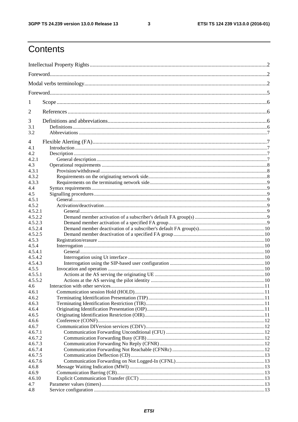$\mathbf{3}$ 

## Contents

| 1                  |  |  |  |  |  |
|--------------------|--|--|--|--|--|
| 2                  |  |  |  |  |  |
| 3                  |  |  |  |  |  |
| 3.1                |  |  |  |  |  |
| 3.2                |  |  |  |  |  |
| 4                  |  |  |  |  |  |
| 4.1                |  |  |  |  |  |
| 4.2                |  |  |  |  |  |
| 4.2.1              |  |  |  |  |  |
| 4.3                |  |  |  |  |  |
| 4.3.1              |  |  |  |  |  |
| 4.3.2              |  |  |  |  |  |
| 4.3.3              |  |  |  |  |  |
| 4.4                |  |  |  |  |  |
| 4.5                |  |  |  |  |  |
| 4.5.1              |  |  |  |  |  |
| 4.5.2<br>4.5.2.1   |  |  |  |  |  |
| 4.5.2.2            |  |  |  |  |  |
| 4.5.2.3            |  |  |  |  |  |
| 4.5.2.4            |  |  |  |  |  |
| 4.5.2.5            |  |  |  |  |  |
| 4.5.3              |  |  |  |  |  |
| 4.5.4              |  |  |  |  |  |
| 4.5.4.1            |  |  |  |  |  |
| 4.5.4.2            |  |  |  |  |  |
| 4.5.4.3            |  |  |  |  |  |
| 4.5.5              |  |  |  |  |  |
| 4.5.5.1            |  |  |  |  |  |
| 4.5.5.2            |  |  |  |  |  |
| 4.6                |  |  |  |  |  |
| 4.6.1              |  |  |  |  |  |
| 4.6.2              |  |  |  |  |  |
| 4.6.3              |  |  |  |  |  |
| 4.6.4              |  |  |  |  |  |
| 4.6.5              |  |  |  |  |  |
| 4.6.6              |  |  |  |  |  |
| 4.6.7              |  |  |  |  |  |
| 4.6.7.1<br>4.6.7.2 |  |  |  |  |  |
| 4.6.7.3            |  |  |  |  |  |
| 4.6.7.4            |  |  |  |  |  |
| 4.6.7.5            |  |  |  |  |  |
| 4.6.7.6            |  |  |  |  |  |
| 4.6.8              |  |  |  |  |  |
| 4.6.9              |  |  |  |  |  |
| 4.6.10             |  |  |  |  |  |
| 4.7                |  |  |  |  |  |
| 4.8                |  |  |  |  |  |
|                    |  |  |  |  |  |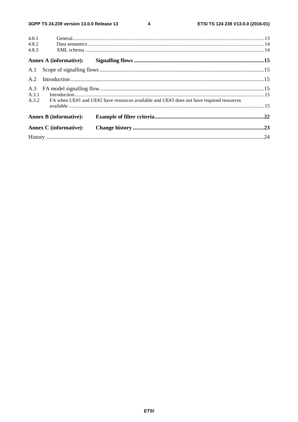$\overline{\mathbf{4}}$ 

| 4.8.1 |                               |                                                                                          |  |
|-------|-------------------------------|------------------------------------------------------------------------------------------|--|
| 4.8.2 |                               |                                                                                          |  |
| 4.8.3 |                               |                                                                                          |  |
|       | <b>Annex A (informative):</b> |                                                                                          |  |
|       |                               |                                                                                          |  |
| A.2   |                               |                                                                                          |  |
|       |                               |                                                                                          |  |
| A.3.1 |                               |                                                                                          |  |
| A.3.2 |                               | FA when UE#1 and UE#2 have resources available and UE#3 does not have required resources |  |
|       | <b>Annex B</b> (informative): |                                                                                          |  |
|       | <b>Annex C</b> (informative): |                                                                                          |  |
|       |                               |                                                                                          |  |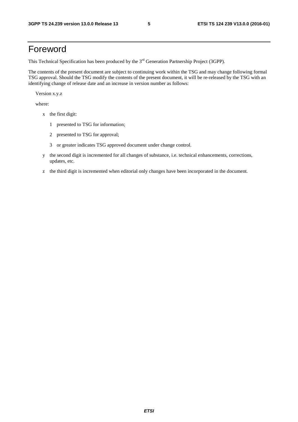## Foreword

This Technical Specification has been produced by the 3<sup>rd</sup> Generation Partnership Project (3GPP).

The contents of the present document are subject to continuing work within the TSG and may change following formal TSG approval. Should the TSG modify the contents of the present document, it will be re-released by the TSG with an identifying change of release date and an increase in version number as follows:

Version x.y.z

where:

- x the first digit:
	- 1 presented to TSG for information;
	- 2 presented to TSG for approval;
	- 3 or greater indicates TSG approved document under change control.
- y the second digit is incremented for all changes of substance, i.e. technical enhancements, corrections, updates, etc.
- z the third digit is incremented when editorial only changes have been incorporated in the document.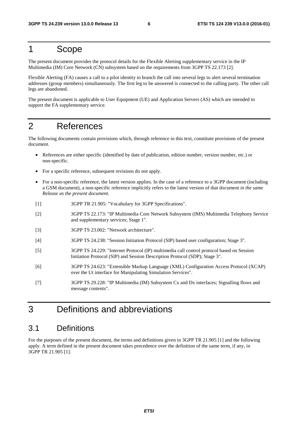## 1 Scope

The present document provides the protocol details for the Flexible Alerting supplementary service in the IP Multimedia (IM) Core Network (CN) subsystem based on the requirements from 3GPP TS 22.173 [2].

Flexible Alerting (FA) causes a call to a pilot identity to branch the call into several legs to alert several termination addresses (group members) simultaneously. The first leg to be answered is connected to the calling party. The other call legs are abandoned.

The present document is applicable to User Equipment (UE) and Application Servers (AS) which are intended to support the FA supplementary service.

## 2 References

The following documents contain provisions which, through reference in this text, constitute provisions of the present document.

- References are either specific (identified by date of publication, edition number, version number, etc.) or non-specific.
- For a specific reference, subsequent revisions do not apply.
- For a non-specific reference, the latest version applies. In the case of a reference to a 3GPP document (including a GSM document), a non-specific reference implicitly refers to the latest version of that document *in the same Release as the present document*.
- [1] 3GPP TR 21.905: "Vocabulary for 3GPP Specifications".
- [2] 3GPP TS 22.173: "IP Multimedia Core Network Subsystem (IMS) Multimedia Telephony Service and supplementary services; Stage 1".
- [3] 3GPP TS 23.002: "Network architecture".
- [4] 3GPP TS 24.238: "Session Initiation Protocol (SIP) based user configuration; Stage 3".
- [5] 3GPP TS 24.229: "Internet Protocol (IP) multimedia call control protocol based on Session Initiation Protocol (SIP) and Session Description Protocol (SDP); Stage 3".
- [6] 3GPP TS 24.623: "Extensible Markup Language (XML) Configuration Access Protocol (XCAP) over the Ut interface for Manipulating Simulation Services".
- [7] 3GPP TS 29.228: "IP Multimedia (IM) Subsystem Cx and Dx interfaces; Signalling flows and message contents".

## 3 Definitions and abbreviations

## 3.1 Definitions

For the purposes of the present document, the terms and definitions given in 3GPP TR 21.905 [1] and the following apply. A term defined in the present document takes precedence over the definition of the same term, if any, in 3GPP TR 21.905 [1].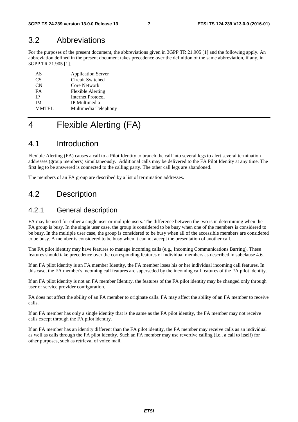## 3.2 Abbreviations

For the purposes of the present document, the abbreviations given in 3GPP TR 21.905 [1] and the following apply. An abbreviation defined in the present document takes precedence over the definition of the same abbreviation, if any, in 3GPP TR 21.905 [1].

| AS           | <b>Application Server</b> |
|--------------|---------------------------|
| CS.          | Circuit Switched          |
| CN           | Core Network              |
| FA           | <b>Flexible Alerting</b>  |
| <b>IP</b>    | Internet Protocol         |
| ĪΜ           | IP Multimedia             |
| <b>MMTEL</b> | Multimedia Telephony      |

## 4 Flexible Alerting (FA)

## 4.1 Introduction

Flexible Alerting (FA) causes a call to a Pilot Identity to branch the call into several legs to alert several termination addresses (group members) simultaneously. Additional calls may be delivered to the FA Pilot Identity at any time. The first leg to be answered is connected to the calling party. The other call legs are abandoned.

The members of an FA group are described by a list of termination addresses.

## 4.2 Description

### 4.2.1 General description

FA may be used for either a single user or multiple users. The difference between the two is in determining when the FA group is busy. In the single user case, the group is considered to be busy when one of the members is considered to be busy. In the multiple user case, the group is considered to be busy when all of the accessible members are considered to be busy. A member is considered to be busy when it cannot accept the presentation of another call.

The FA pilot identity may have features to manage incoming calls (e.g., Incoming Communications Barring). These features should take precedence over the corresponding features of individual members as described in subclause 4.6.

If an FA pilot identity is an FA member Identity, the FA member loses his or her individual incoming call features. In this case, the FA member's incoming call features are superseded by the incoming call features of the FA pilot identity.

If an FA pilot identity is not an FA member Identity, the features of the FA pilot identity may be changed only through user or service provider configuration.

FA does not affect the ability of an FA member to originate calls. FA may affect the ability of an FA member to receive calls.

If an FA member has only a single identity that is the same as the FA pilot identity, the FA member may not receive calls except through the FA pilot identity.

If an FA member has an identity different than the FA pilot identity, the FA member may receive calls as an individual as well as calls through the FA pilot identity. Such an FA member may use revertive calling (i.e., a call to itself) for other purposes, such as retrieval of voice mail.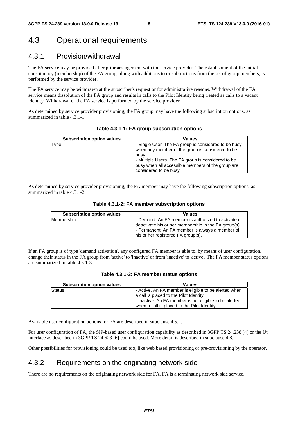## 4.3 Operational requirements

### 4.3.1 Provision/withdrawal

The FA service may be provided after prior arrangement with the service provider. The establishment of the initial constituency (membership) of the FA group, along with additions to or subtractions from the set of group members, is performed by the service provider.

The FA service may be withdrawn at the subscriber's request or for administrative reasons. Withdrawal of the FA service means dissolution of the FA group and results in calls to the Pilot Identity being treated as calls to a vacant identity. Withdrawal of the FA service is performed by the service provider.

As determined by service provider provisioning, the FA group may have the following subscription options, as summarized in table 4.3.1-1.

| <b>Subscription option values</b> | <b>Values</b>                                                                                                                     |
|-----------------------------------|-----------------------------------------------------------------------------------------------------------------------------------|
| Type                              | - Single User. The FA group is considered to be busy<br>when any member of the group is considered to be<br>busy.                 |
|                                   | - Multiple Users. The FA group is considered to be<br>busy when all accessible members of the group are<br>considered to be busy. |

As determined by service provider provisioning, the FA member may have the following subscription options, as summarized in table 4.3.1-2.

| <b>Subscription option values</b> | <b>Values</b>                                        |
|-----------------------------------|------------------------------------------------------|
| Membership                        | - Demand. An FA member is authorized to activate or  |
|                                   | deactivate his or her membership in the FA group(s). |
|                                   | - Permanent. An FA member is always a member of      |
|                                   | his or her registered FA group(s).                   |

If an FA group is of type 'demand activation', any configured FA member is able to, by means of user configuration, change their status in the FA group from 'active' to 'inactive' or from 'inactive' to 'active'. The FA member status options are summarized in table 4.3.1-3.

| Table 4.3.1-3: FA member status options |  |  |
|-----------------------------------------|--|--|
|-----------------------------------------|--|--|

| <b>Subscription option values</b> | <b>Values</b>                                          |
|-----------------------------------|--------------------------------------------------------|
| Status                            | - Active. An FA member is eligible to be alerted when  |
|                                   | a call is placed to the Pilot Identity.                |
|                                   | - Inactive. An FA member is not eligible to be alerted |
|                                   | when a call is placed to the Pilot Identity            |

Available user configuration actions for FA are described in subclause 4.5.2.

For user configuration of FA, the SIP-based user configuration capability as described in 3GPP TS 24.238 [4] or the Ut interface as described in 3GPP TS 24.623 [6] could be used. More detail is described in subclause 4.8.

Other possibilities for provisioning could be used too, like web based provisioning or pre-provisioning by the operator.

### 4.3.2 Requirements on the originating network side

There are no requirements on the originating network side for FA. FA is a terminating network side service.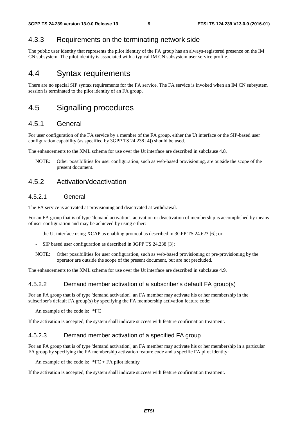## 4.3.3 Requirements on the terminating network side

The public user identity that represents the pilot identity of the FA group has an always-registered presence on the IM CN subsystem. The pilot identity is associated with a typical IM CN subsystem user service profile.

## 4.4 Syntax requirements

There are no special SIP syntax requirements for the FA service. The FA service is invoked when an IM CN subsystem session is terminated to the pilot identity of an FA group.

## 4.5 Signalling procedures

## 4.5.1 General

For user configuration of the FA service by a member of the FA group, either the Ut interface or the SIP-based user configuration capability (as specified by 3GPP TS 24.238 [4]) should be used.

The enhancements to the XML schema for use over the Ut interface are described in subclause 4.8.

NOTE: Other possibilities for user configuration, such as web-based provisioning, are outside the scope of the present document.

### 4.5.2 Activation/deactivation

### 4.5.2.1 General

The FA service is activated at provisioning and deactivated at withdrawal.

For an FA group that is of type 'demand activation', activation or deactivation of membership is accomplished by means of user configuration and may be achieved by using either:

- the Ut interface using XCAP as enabling protocol as described in 3GPP TS 24.623 [6]; or
- SIP based user configuration as described in 3GPP TS 24.238 [3];
- NOTE: Other possibilities for user configuration, such as web-based provisioning or pre-provisioning by the operator are outside the scope of the present document, but are not precluded.

The enhancements to the XML schema for use over the Ut interface are described in subclause 4.9.

#### 4.5.2.2 Demand member activation of a subscriber's default FA group(s)

For an FA group that is of type 'demand activation', an FA member may activate his or her membership in the subscriber's default FA group(s) by specifying the FA membership activation feature code:

An example of the code is: \*FC

If the activation is accepted, the system shall indicate success with feature confirmation treatment.

#### 4.5.2.3 Demand member activation of a specified FA group

For an FA group that is of type 'demand activation', an FA member may activate his or her membership in a particular FA group by specifying the FA membership activation feature code and a specific FA pilot identity:

An example of the code is:  $*FC + FA$  pilot identity

If the activation is accepted, the system shall indicate success with feature confirmation treatment.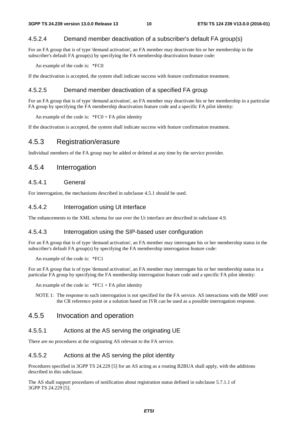### 4.5.2.4 Demand member deactivation of a subscriber's default FA group(s)

For an FA group that is of type 'demand activation', an FA member may deactivate his or her membership in the subscriber's default FA group(s) by specifying the FA membership deactivation feature code:

An example of the code is: \*FC0

If the deactivation is accepted, the system shall indicate success with feature confirmation treatment.

#### 4.5.2.5 Demand member deactivation of a specified FA group

For an FA group that is of type 'demand activation', an FA member may deactivate his or her membership in a particular FA group by specifying the FA membership deactivation feature code and a specific FA pilot identity:

An example of the code is:  $*FC0 + FA$  pilot identity

If the deactivation is accepted, the system shall indicate success with feature confirmation treatment.

### 4.5.3 Registration/erasure

Individual members of the FA group may be added or deleted at any time by the service provider.

### 4.5.4 Interrogation

#### 4.5.4.1 General

For interrogation, the mechanisms described in subclause 4.5.1 should be used.

#### 4.5.4.2 Interrogation using Ut interface

The enhancements to the XML schema for use over the Ut interface are described in subclause 4.9.

#### 4.5.4.3 Interrogation using the SIP-based user configuration

For an FA group that is of type 'demand activation', an FA member may interrogate his or her membership status in the subscriber's default FA group(s) by specifying the FA membership interrogation feature code:

An example of the code is: \*FC1

For an FA group that is of type 'demand activation', an FA member may interrogate his or her membership status in a particular FA group by specifying the FA membership interrogation feature code and a specific FA pilot identity:

An example of the code is:  $*FC1 + FA$  pilot identity

NOTE 1: The response to such interrogation is not specified for the FA service. AS interactions with the MRF over the CR reference point or a solution based on IVR can be used as a possible interrogation response.

### 4.5.5 Invocation and operation

#### 4.5.5.1 Actions at the AS serving the originating UE

There are no procedures at the originating AS relevant to the FA service.

#### 4.5.5.2 Actions at the AS serving the pilot identity

Procedures specified in 3GPP TS 24.229 [5] for an AS acting as a routing B2BUA shall apply, with the additions described in this subclause.

The AS shall support procedures of notification about registration status defined in subclause 5.7.1.1 of 3GPP TS 24.229 [5].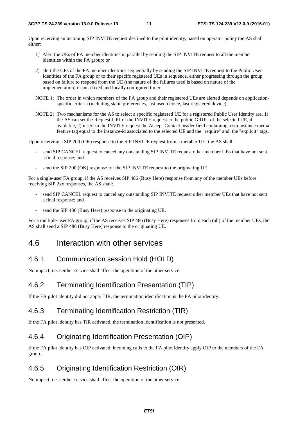Upon receiving an incoming SIP INVITE request destined to the pilot identity, based on operator policy the AS shall either:

- 1) Alert the UEs of FA member identities in parallel by sending the SIP INVITE request to all the member identities within the FA group; or
- 2) alert the UEs of the FA member identities sequentially by sending the SIP INVITE request to the Public User Identities of the FA group or to their specifc registered UEs in sequence, either progressing through the group based on failure to respond from the UE (the nature of the failures used is based on nature of the implementation) or on a fixed and locally configured timer.
- NOTE 1: The order in which members of the FA group and their registered UEs are alerted depends on applicationspecific criteria (including static preferences, last used device, last registered device).
- NOTE 2: Two mechanisms for the AS to select a specific registered UE for a registered Public User Identity are, 1) the AS can set the Request-URI of the INVITE request to the public GRUU of the selected UE, if available, 2) insert in the INVITE request the Accept-Contact header field containing a sip.instance media feature tag equal to the instance-id associated to the selected UE and the "require" and the "explicit" tags.

Upon receiving a SIP 200 (OK) response to the SIP INVITE request from a member UE, the AS shall:

- send SIP CANCEL request to cancel any outstanding SIP INVITE request other member UEs that have not sent a final response; and
- send the SIP 200 (OK) response for the SIP INVITE request to the originating UE.

For a single-user FA group, if the AS receives SIP 486 (Busy Here) response from any of the member UEs before receiving SIP 2xx responses, the AS shall:

- send SIP CANCEL request to cancel any outstanding SIP INVITE request other member UEs that have not sent a final response; and
- send the SIP 486 (Busy Here) response to the originating UE.

For a multiple-user FA group, if the AS receives SIP 486 (Busy Here) responses from each (all) of the member UEs, the AS shall send a SIP 486 (Busy Here) response to the originating UE.

## 4.6 Interaction with other services

### 4.6.1 Communication session Hold (HOLD)

No impact, i.e. neither service shall affect the operation of the other service.

### 4.6.2 Terminating Identification Presentation (TIP)

If the FA pilot identity did not apply TIR, the termination identification is the FA pilot identity.

## 4.6.3 Terminating Identification Restriction (TIR)

If the FA pilot identity has TIR activated, the termination identification is not presented.

## 4.6.4 Originating Identification Presentation (OIP)

If the FA pilot identity has OIP activated, incoming calls to the FA pilot identity apply OIP to the members of the FA group.

## 4.6.5 Originating Identification Restriction (OIR)

No impact, i.e. neither service shall affect the operation of the other service.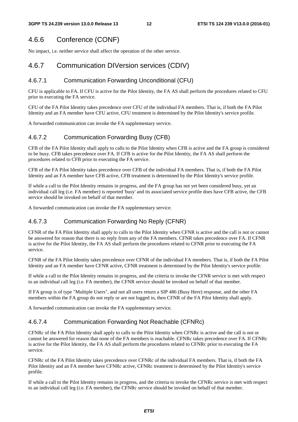## 4.6.6 Conference (CONF)

No impact, i.e. neither service shall affect the operation of the other service.

## 4.6.7 Communication DIVersion services (CDIV)

### 4.6.7.1 Communication Forwarding Unconditional (CFU)

CFU is applicable to FA. If CFU is active for the Pilot Identity, the FA AS shall perform the procedures related to CFU prior to executing the FA service.

CFU of the FA Pilot Identity takes precedence over CFU of the individual FA members. That is, if both the FA Pilot Identity and an FA member have CFU active, CFU treatment is determined by the Pilot Identity's service profile.

A forwarded communication can invoke the FA supplementary service.

### 4.6.7.2 Communication Forwarding Busy (CFB)

CFB of the FA Pilot Identity shall apply to calls to the Pilot Identity when CFB is active and the FA group is considered to be busy. CFB takes precedence over FA. If CFB is active for the Pilot Identity, the FA AS shall perform the procedures related to CFB prior to executing the FA service.

CFB of the FA Pilot Identity takes precedence over CFB of the individual FA members. That is, if both the FA Pilot Identity and an FA member have CFB active, CFB treatment is determined by the Pilot Identity's service profile.

If while a call to the Pilot Identity remains in progress, and the FA group has not yet been considered busy, yet an individual call leg (i.e. FA member) is reported 'busy' and its associated service profile does have CFB active, the CFB service should be invoked on behalf of that member.

A forwarded communication can invoke the FA supplementary service.

### 4.6.7.3 Communication Forwarding No Reply (CFNR)

CFNR of the FA Pilot Identity shall apply to calls to the Pilot Identity when CFNR is active and the call is not or cannot be answered for reason that there is no reply from any of the FA members. CFNR takes precedence over FA. If CFNR is active for the Pilot Identity, the FA AS shall perform the procedures related to CFNR prior to executing the FA service.

CFNR of the FA Pilot Identity takes precedence over CFNR of the individual FA members. That is, if both the FA Pilot Identity and an FA member have CFNR active, CFNR treatment is determined by the Pilot Identity's service profile.

If while a call to the Pilot Identity remains in progress, and the criteria to invoke the CFNR service is met with respect to an individual call leg (i.e. FA member), the CFNR service should be invoked on behalf of that member.

If FA group is of type "Multiple Users", and not all users return a SIP 486 (Busy Here) response, and the other FA members within the FA group do not reply or are not logged in, then CFNR of the FA Pilot Identity shall apply.

A forwarded communication can invoke the FA supplementary service.

### 4.6.7.4 Communication Forwarding Not Reachable (CFNRc)

CFNRc of the FA Pilot Identity shall apply to calls to the Pilot Identity when CFNRc is active and the call is not or cannot be answered for reason that none of the FA members is reachable. CFNRc takes precedence over FA. If CFNRc is active for the Pilot Identity, the FA AS shall perform the procedures related to CFNRc prior to executing the FA service.

CFNRc of the FA Pilot Identity takes precedence over CFNRc of the individual FA members. That is, if both the FA Pilot Identity and an FA member have CFNRc active, CFNRc treatment is determined by the Pilot Identity's service profile.

If while a call to the Pilot Identity remains in progress, and the criteria to invoke the CFNRc service is met with respect to an individual call leg (i.e. FA member), the CFNRc service should be invoked on behalf of that member.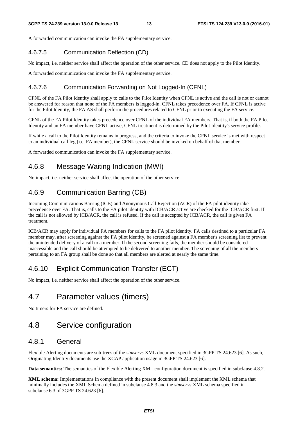A forwarded communication can invoke the FA supplementary service.

#### 4.6.7.5 Communication Deflection (CD)

No impact, i.e. neither service shall affect the operation of the other service. CD does not apply to the Pilot Identity.

A forwarded communication can invoke the FA supplementary service.

#### 4.6.7.6 Communication Forwarding on Not Logged-In (CFNL)

CFNL of the FA Pilot Identity shall apply to calls to the Pilot Identity when CFNL is active and the call is not or cannot be answered for reason that none of the FA members is logged-in. CFNL takes precedence over FA. If CFNL is active for the Pilot Identity, the FA AS shall perform the procedures related to CFNL prior to executing the FA service.

CFNL of the FA Pilot Identity takes precedence over CFNL of the individual FA members. That is, if both the FA Pilot Identity and an FA member have CFNL active, CFNL treatment is determined by the Pilot Identity's service profile.

If while a call to the Pilot Identity remains in progress, and the criteria to invoke the CFNL service is met with respect to an individual call leg (i.e. FA member), the CFNL service should be invoked on behalf of that member.

A forwarded communication can invoke the FA supplementary service.

### 4.6.8 Message Waiting Indication (MWI)

No impact, i.e. neither service shall affect the operation of the other service.

## 4.6.9 Communication Barring (CB)

Incoming Communications Barring (ICB) and Anonymous Call Rejection (ACR) of the FA pilot identity take precedence over FA. That is, calls to the FA pilot identity with ICB/ACR active are checked for the ICB/ACR first. If the call is not allowed by ICB/ACR, the call is refused. If the call is accepted by ICB/ACR, the call is given FA treatment.

ICB/ACR may apply for individual FA members for calls to the FA pilot identity. FA calls destined to a particular FA member may, after screening against the FA pilot identity, be screened against a FA member's screening list to prevent the unintended delivery of a call to a member. If the second screening fails, the member should be considered inaccessible and the call should be attempted to be delivered to another member. The screening of all the members pertaining to an FA group shall be done so that all members are alerted at nearly the same time.

## 4.6.10 Explicit Communication Transfer (ECT)

No impact, i.e. neither service shall affect the operation of the other service.

## 4.7 Parameter values (timers)

No timers for FA service are defined.

## 4.8 Service configuration

### 4.8.1 General

Flexible Alerting documents are sub-trees of the *simservs* XML document specified in 3GPP TS 24.623 [6]. As such, Originating Identity documents use the XCAP application usage in 3GPP TS 24.623 [6].

**Data semantics:** The semantics of the Flexible Alerting XML configuration document is specified in subclause 4.8.2.

**XML schema:** Implementations in compliance with the present document shall implement the XML schema that minimally includes the XML Schema defined in subclause 4.8.3 and the *simservs* XML schema specified in subclause 6.3 of 3GPP TS 24.623 [6].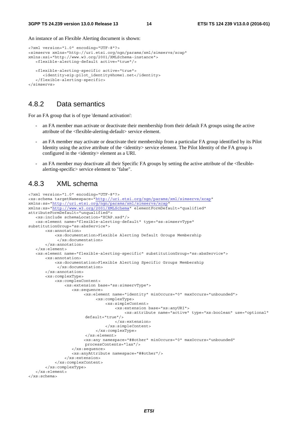An instance of an Flexible Alerting document is shown:

```
<?xml version="1.0" encoding="UTF-8"?> 
<simservs xmlns="http://uri.etsi.org/ngn/params/xml/simservs/xcap" 
xmlns:xsi="http://www.w3.org/2001/XMLSchema-instance"> 
    <flexible-alerting-default active="true"/> 
    <flexible-alerting-specific active="true"> 
       <identity>sip:pilot_identity@home1.net</identity> 
    </flexible-alerting-specific> 
</simservs>
```
### 4.8.2 Data semantics

For an FA group that is of type 'demand activation':

- an FA member man activate or deactivate their membership from their default FA groups using the active attribute of the <flexible-alerting-default> service element.
- an FA member may activate or deactivate their membership from a particular FA group identified by its Pilot Identity using the active attribute of the  $\le$ identity> service element. The Pilot Identity of the FA group is configured in the <identity> element as a URI.
- an FA member may deactivate all their Specific FA groups by setting the active attribute of the <flexiblealerting-specific> service element to "false".

## 4.8.3 XML schema

```
<?xml version="1.0" encoding="UTF-8"?> 
<xs:schema targetNamespace="http://uri.etsi.org/ngn/params/xml/simservs/xcap" 
xmlns:ss="http://uri.etsi.org/ngn/params/xml/simservs/xcap" 
xmlns:xs="http://www.w3.org/2001/XMLSchema" elementFormDefault="qualified" 
attributeFormDefault="unqualified"> 
    <xs:include schemaLocation="XCAP.xsd"/> 
    <xs:element name="flexible-alerting-default" type="ss:simservType" 
substitutionGroup="ss:absService"> 
        <xs:annotation> 
             <xs:documentation>Flexible Alerting Default Groups Membership 
              </xs:documentation> 
        </xs:annotation> 
    </xs:element> 
    <xs:element name="flexible-alerting-specific" substitutionGroup="ss:absService"> 
        <xs:annotation> 
             <xs:documentation>Flexible Alerting Specific Groups Membership 
              </xs:documentation> 
        </xs:annotation> 
        <xs:complexType> 
             <xs:complexContent> 
                 <xs:extension base="ss:simservType"> 
                    <xs:sequence> 
                         <xs:element name="identity" minOccurs="0" maxOccurs="unbounded"> 
                               <xs:complexType> 
                                   <xs:simpleContent> 
                                       <xs:extension base="xs:anyURI"> 
                                            <xs:attribute name="active" type="xs:boolean" use="optional" 
                         \det \left( \frac{1}{2} \right) </xs:extension> 
                                   </xs:simpleContent> 
                               </xs:complexType> 
                          </xs:element> 
                          <xs:any namespace="##other" minOccurs="0" maxOccurs="unbounded" 
                         processContents="lax"/> 
                    </xs:sequence> 
                    <xs:anyAttribute namespace="##other"/> 
                 </xs:extension> 
             </xs:complexContent> 
        </xs:complexType> 
    </xs:element> 
</xs:schema>
```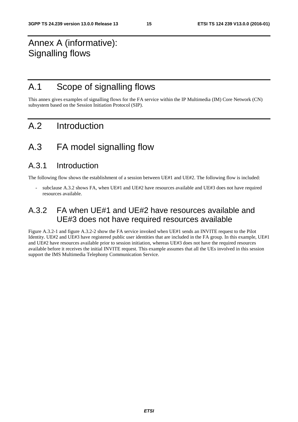## Annex A (informative): Signalling flows

## A.1 Scope of signalling flows

This annex gives examples of signalling flows for the FA service within the IP Multimedia (IM) Core Network (CN) subsystem based on the Session Initiation Protocol (SIP).

## A.2 Introduction

## A.3 FA model signalling flow

## A.3.1 Introduction

The following flow shows the establishment of a session between UE#1 and UE#2. The following flow is included:

subclause A.3.2 shows FA, when UE#1 and UE#2 have resources available and UE#3 does not have required resources available.

## A.3.2 FA when UE#1 and UE#2 have resources available and UE#3 does not have required resources available

Figure A.3.2-1 and figure A.3.2-2 show the FA service invoked when UE#1 sends an INVITE request to the Pilot Identity. UE#2 and UE#3 have registered public user identities that are included in the FA group. In this example, UE#1 and UE#2 have resources available prior to session initiation, whereas UE#3 does not have the required resources available before it receives the initial INVITE request. This example assumes that all the UEs involved in this session support the IMS Multimedia Telephony Communication Service.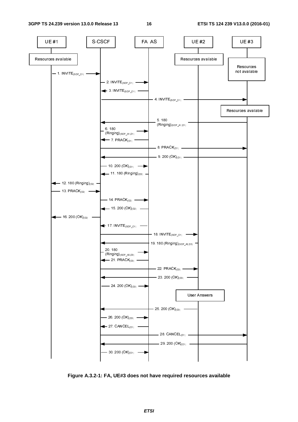

**Figure A.3.2-1: FA, UE#3 does not have required resources available**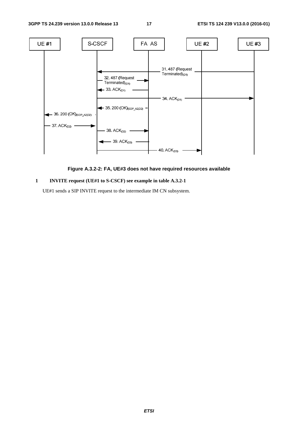

#### **Figure A.3.2-2: FA, UE#3 does not have required resources available**

#### **1 INVITE request (UE#1 to S-CSCF) see example in table A.3.2-1**

UE#1 sends a SIP INVITE request to the intermediate IM CN subsystem.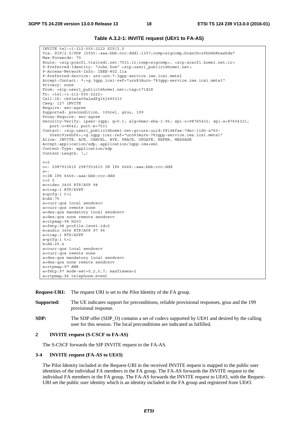#### **Table A.3.2-1: INVITE request (UE#1 to FA-AS)**

INVITE tel:+1-212-555-2222 SIP/2.0 Via: SIP/2.0/UDP [5555::aaa:bbb:ccc:ddd]:1357;comp=sigcomp;branch=z9hG4bKnashds7 Max-Forwards: 70 Route: <sip:pcscf1.visited1.net:7531;lr;comp=sigcomp>, <sip:scscf1.home1.net;lr> P-Preferred-Identity: "John Doe" <sip:user1\_public1@home1.net> P-Access-Network-Info: IEEE-802.11a P-Preferred-Service: urn:urn-7:3gpp-service.ims.icsi.mmtel Accept-Contact: \*;+g.3gpp.icsi-ref="urn%3Aurn-7%3gpp-service.ims.icsi.mmtel" Privacy: none From: <sip:user1\_public1@home1.net>;tag=171828 To: <tel:+1-212-555-2222> Call-ID: cb03a0s09a2sdfglkj490333 Cseq: 127 INVITE Require: sec-agree Supported: precondition, 100rel, gruu, 199 Proxy-Require: sec-agree Security-Verify: ipsec-3gpp; q=0.1; alg=hmac-sha-1-96; spi-c=98765432; spi-s=87654321; port-c=8642; port-s=7531 Contact: <sip:user1\_public1@home1.net;gr=urn:uuid:f81d4fae-7dec-11d0-a765- 00a0c91e6bf6>;+g.3gpp.icsi-ref="urn%3Aurn-7%3gpp-service.ims.icsi.mmtel" Allow: INVITE, ACK, CANCEL, BYE, PRACK, UPDATE, REFER, MESSAGE Accept:application/sdp,.application/3gpp-ims+xml Content-Type: application/sdp Content-Length: (…)  $v=0$ o=- 2987933615 2987933615 IN IP6 6666::aaa:bbb:ccc:ddd  $s=$ c=IN IP6 6666::aaa:bbb:ccc:ddd  $t=0$  0 m=video 3400 RTP/AVP 98 a=tcap:1 RTP/AVPF a=pcfg:1 t=1 b=AS:75 a=curr:qos local sendrecv a=curr:qos remote none a=des:qos mandatory local sendrecv a=des:qos none remote sendrecv  $a = r$ tpmap: 98 H263 a=fmtp:98 profile-level-id=0 m=audio 3456 RTP/AVP 97 96 a=tcap:1 RTP/AVPF  $a = pcfq:1$  t=1 b=AS:25.4 a=curr:qos local sendrecv a=curr:qos remote none a=des:qos mandatory local sendrecv a=des:qos none remote sendrecv a=rtpmap:97 AMR  $a = f m t p: 97$  mode-set=0, 2, 5, 7; maxframes=2 a=rtpmap:96 telephone-event

**Request-URI:** The request URI is set to the Pilot Identity of the FA group.

- **Supported:** The UE indicates support for preconditions, reliable provisional responses, gruu and the 199 provisional response.
- **SDP:** The SDP offer (SDP\_O) contains a set of codecs supported by UE#1 and desired by the calling user for this session. The local preconditions are indicated as fulfilled.

#### **2 INVITE request (S-CSCF to FA-AS)**

The S-CSCF forwards the SIP INVITE request to the FA-AS.

#### **3-4 INVITE request (FA-AS to UE#3)**

 The Pilot Identity included in the Request-URI in the received INVITE request is mapped to the public user identities of the individual FA members in the FA group. The FA-AS forwards the INVITE request to the individual FA members in the FA group. The FA-AS forwards the INVITE request to UE#3, with the Request-URI set the public user identity which is an identity included in the FA group and registered from UE#3.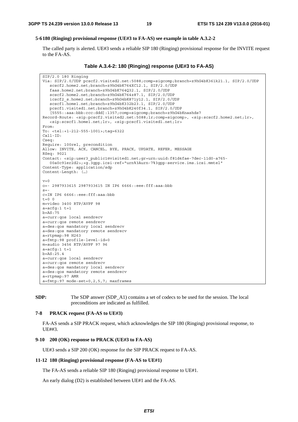#### **5-6 180 (Ringing) provisional response (UE#3 to FA-AS) see example in table A.3.2-2**

 The called party is alerted. UE#3 sends a reliable SIP 180 (Ringing) provisional response for the INVITE request to the FA-AS.

**Table A.3.4-2: 180 (Ringing) response (UE#3 to FA-AS)** 

SIP/2.0 180 Ringing Via: SIP/2.0/UDP pcscf2.visited2.net:5088;comp=sigcomp;branch=z9hG4bK361k21.1, SIP/2.0/UDP scscf2.home2.net;branch=z9hG4bK764XC12.1, SIP/2.0/UDP faas.home2.net;branch=z9hG4bK764Q32.1, SIP/2.0/UDP scscf2.home2.net;branch=z9hG4bK764z87.1, SIP/2.0/UDP icscf2\_s.home2.net;branch=z9hG4bK871y12.1, SIP/2.0/UDP scscf1.home1.net;branch=z9hG4bK332b23.1, SIP/2.0/UDP pcscf1.visited1.net;branch=z9hG4bK240f34.1, SIP/2.0/UDP [5555::aaa:bbb:ccc:ddd]:1357;comp=sigcomp;branch=z9hG4bKnashds7 Record-Route: <sip:pcscf2.visited2.net:5088;lr;comp=sigcomp>, <sip:scscf2.home2.net;lr>, <sip:scscf1.home1.net;lr>, <sip:pcscf1.visited1.net;lr> From: To: <tel:+1-212-555-1001>;tag=6322 Call-ID: Cseq: Require: 100rel, precondition Allow: INVITE, ACK, CANCEL, BYE, PRACK, UPDATE, REFER, MESSAGE RSeq: 9021 Contact: <sip:user3\_public1@visited1.net;gr=urn:uuid:f81d4fae-7dec-11d0-a765- 00a0c91er2d2>;+g.3gpp.icsi-ref="urn%3Aurn-7%3gpp-service.ims.icsi.mmtel" Content-Type: application/sdp Content-Length: (…)  $v=0$ o=- 2987933615 2987933615 IN IP6 6666::eee:fff:aaa:bbb  $s=$ c=IN IP6 6666::eee:fff:aaa:bbb  $t=0$  0 m=video 3400 RTP/AVPF 98  $a=acfq:1$   $t=1$  $b = AS \cdot 75$ a=curr:qos local sendrecv a=curr:qos remote sendrecv a=des:qos mandatory local sendrecv a=des:qos mandatory remote sendrecv a=rtpmap:98 H263 a=fmtp:98 profile-level-id=0 m=audio 3456 RTP/AVPF 97 96  $a = acfg:1 t=1$  $b=AS:25.4$ a=curr:qos local sendrecv a=curr:qos remote sendrecv a=des:qos mandatory local sendrecv a=des:qos mandatory remote sendrecv a=rtpmap:97 AMR a=fmtp:97 mode-set=0,2,5,7; maxframes

**SDP:** The SDP answer (SDP\_A1) contains a set of codecs to be used for the session. The local preconditions are indicated as fulfilled.

#### **7-8 PRACK request (FA-AS to UE#3)**

 FA-AS sends a SIP PRACK request, which acknowledges the SIP 180 (Ringing) provisional response, to UE##3.

#### **9-10 200 (OK) response to PRACK (UE#3 to FA-AS)**

UE#3 sends a SIP 200 (OK) response for the SIP PRACK request to FA-AS.

#### **11-12 180 (Ringing) provisional response (FA-AS to UE#1)**

The FA-AS sends a reliable SIP 180 (Ringing) provisional response to UE#1.

An early dialog (D2) is established between UE#1 and the FA-AS.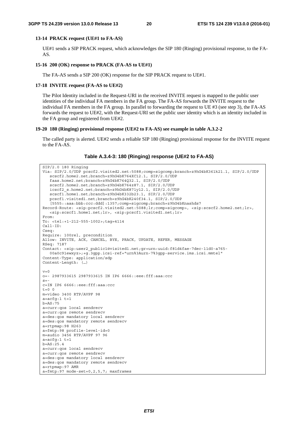#### **13-14 PRACK request (UE#1 to FA-AS)**

 UE#1 sends a SIP PRACK request, which acknowledges the SIP 180 (Ringing) provisional response, to the FA-AS.

#### **15-16 200 (OK) response to PRACK (FA-AS to UE#1)**

The FA-AS sends a SIP 200 (OK) response for the SIP PRACK request to UE#1.

#### **17-18 INVITE request (FA-AS to UE#2)**

 The Pilot Identity included in the Request-URI in the received INVITE request is mapped to the public user identities of the individual FA members in the FA group. The FA-AS forwards the INVITE request to the individual FA members in the FA group. In parallel to forwarding the request to UE #3 (see step 3), the FA-AS forwards the request to UE#2, with the Request-URI set the public user identity which is an identity included in the FA group and registered from UE#2.

#### **19-20 180 (Ringing) provisional response (UE#2 to FA-AS) see example in table A.3.2-2**

 The called party is alerted. UE#2 sends a reliable SIP 180 (Ringing) provisional response for the INVITE request to the FA-AS.

**Table A.3.4-3: 180 (Ringing) response (UE#2 to FA-AS)** 

| $SIP/2.0$ 180 Ringing                                                                                                                                             |
|-------------------------------------------------------------------------------------------------------------------------------------------------------------------|
| Via: SIP/2.0/UDP pcscf2.visited2.net:5088;comp=sigcomp;branch=z9hG4bK361k21.1, SIP/2.0/UDP                                                                        |
| scscf2.home2.net;branch=z9hG4bK764XC12.1, SIP/2.0/UDP                                                                                                             |
| faas.home2.net;branch=z9hG4bK764Q32.1, SIP/2.0/UDP                                                                                                                |
| scscf2.home2.net;branch=z9hG4bK764z87.1, SIP/2.0/UDP                                                                                                              |
| icscf2 s.home2.net;branch=z9hG4bK871y12.1, SIP/2.0/UDP                                                                                                            |
| scscf1.home1.net;branch=z9hG4bK332b23.1, SIP/2.0/UDP                                                                                                              |
| pcscf1.visited1.net;branch=z9hG4bK240f34.1, SIP/2.0/UDP                                                                                                           |
| [5555::aaa:bbb:ccc:ddd]:1357;comp=sigcomp;branch=z9hG4bKnashds7                                                                                                   |
| Record-Route: <sip:pcscf2.visited2.net:5088;lr;comp=siqcomp>, <sip:scscf2.home2.net;lr>,</sip:scscf2.home2.net;lr></sip:pcscf2.visited2.net:5088;lr;comp=siqcomp> |
| <sip:scscf1.home1.net;lr>, <sip:pcscf1.visited1.net;lr></sip:pcscf1.visited1.net;lr></sip:scscf1.home1.net;lr>                                                    |
| From:                                                                                                                                                             |
| To: $1 - 212 - 555 - 1002$                                                                                                                                        |
| $Call-ID:$                                                                                                                                                        |
| Cseq:                                                                                                                                                             |
| Require: 100rel, precondition                                                                                                                                     |
| Allow: INVITE, ACK, CANCEL, BYE, PRACK, UPDATE, REFER, MESSAGE                                                                                                    |
| RSeq: 7187                                                                                                                                                        |
| Contact: <sip:user2 public1@visited1.net;gr="urn:uuid:f81d4fae-7dec-11d0-a765-&lt;/td"></sip:user2>                                                               |
| 00a0c91ewxyz>;+q.3qpp.icsi-ref="urn%3Aurn-7%3qpp-service.ims.icsi.mmtel"                                                                                          |
| Content-Type: application/sdp                                                                                                                                     |
| Content-Length: ()                                                                                                                                                |
|                                                                                                                                                                   |
| $v=0$                                                                                                                                                             |
| o = - 2987933615 2987933615 IN IP6 6666::eee:fff:aaa:ccc                                                                                                          |
| $S = -$                                                                                                                                                           |
| c=IN IP6 6666::eee:fff:aaa:ccc                                                                                                                                    |
| $t=0$ 0                                                                                                                                                           |
| m=video 3400 RTP/AVPF 98                                                                                                                                          |
| $a = acfg:1 t=1$                                                                                                                                                  |
| $b = AS : 75$                                                                                                                                                     |
| a=curr:qos local sendrecv                                                                                                                                         |
| a=curr: qos remote sendrecv                                                                                                                                       |
| a=des: qos mandatory local sendrecv                                                                                                                               |
| a=des: qos mandatory remote sendrecv                                                                                                                              |
| a=rtpmap:98 H263                                                                                                                                                  |
| a=fmtp:98 profile-level-id=0                                                                                                                                      |
| $m =$ audio 3456 RTP/AVPF 97 96                                                                                                                                   |
| $a = acfg:1 t=1$                                                                                                                                                  |
| $b = AS: 25.4$                                                                                                                                                    |
| a=curr:gos local sendrecv                                                                                                                                         |
| a=curr: qos remote sendrecv                                                                                                                                       |
| a=des:gos mandatory local sendrecv                                                                                                                                |
| a=des: qos mandatory remote sendrecv                                                                                                                              |
| a=rtpmap:97 AMR                                                                                                                                                   |
| $a = \text{fmtp: } 97 \text{ mode-set} = 0, 2, 5, 7; \text{ maxframes}$                                                                                           |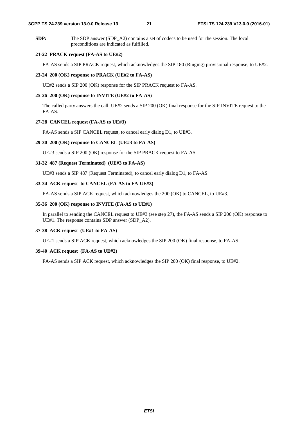#### **3GPP TS 24.239 version 13.0.0 Release 13 21 ETSI TS 124 239 V13.0.0 (2016-01)**

**SDP:** The SDP answer (SDP\_A2) contains a set of codecs to be used for the session. The local preconditions are indicated as fulfilled.

#### **21-22 PRACK request (FA-AS to UE#2)**

FA-AS sends a SIP PRACK request, which acknowledges the SIP 180 (Ringing) provisional response, to UE#2.

#### **23-24 200 (OK) response to PRACK (UE#2 to FA-AS)**

UE#2 sends a SIP 200 (OK) response for the SIP PRACK request to FA-AS.

#### **25-26 200 (OK) response to INVITE (UE#2 to FA-AS)**

 The called party answers the call. UE#2 sends a SIP 200 (OK) final response for the SIP INVITE request to the FA-AS.

#### **27-28 CANCEL request (FA-AS to UE#3)**

FA-AS sends a SIP CANCEL request, to cancel early dialog D1, to UE#3.

#### **29-30 200 (OK) response to CANCEL (UE#3 to FA-AS)**

UE#3 sends a SIP 200 (OK) response for the SIP PRACK request to FA-AS.

#### **31-32 487 (Request Terminated) (UE#3 to FA-AS)**

UE#3 sends a SIP 487 (Request Terminated), to cancel early dialog D1, to FA-AS.

#### **33-34 ACK request to CANCEL (FA-AS to FA-UE#3)**

FA-AS sends a SIP ACK request, which acknowledges the 200 (OK) to CANCEL, to UE#3.

#### **35-36 200 (OK) response to INVITE (FA-AS to UE#1)**

 In parallel to sending the CANCEL request to UE#3 (see step 27), the FA-AS sends a SIP 200 (OK) response to UE#1. The response contains SDP answer (SDP\_A2).

#### **37-38 ACK request (UE#1 to FA-AS)**

UE#1 sends a SIP ACK request, which acknowledges the SIP 200 (OK) final response, to FA-AS.

#### **39-40 ACK request (FA-AS to UE#2)**

FA-AS sends a SIP ACK request, which acknowledges the SIP 200 (OK) final response, to UE#2.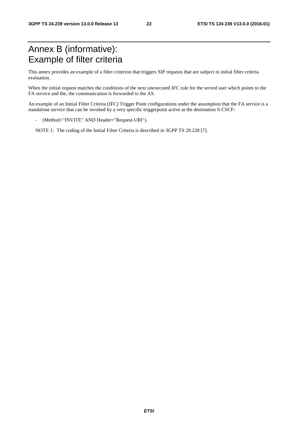## Annex B (informative): Example of filter criteria

This annex provides an example of a filter criterion that triggers SIP requests that are subject to initial filter criteria evaluation.

When the initial request matches the conditions of the next unexecuted IFC rule for the served user which points to the FA service and the, the communication is forwarded to the AS.

An example of an Initial Filter Criteria (IFC) Trigger Point configurations under the assumption that the FA service is a standalone service that can be invoked by a very specific triggerpoint active at the destination S-CSCF:

- (Method="INVITE" AND Header="Request-URI").

NOTE 1: The coding of the Initial Filter Criteria is described in 3GPP TS 29.228 [7].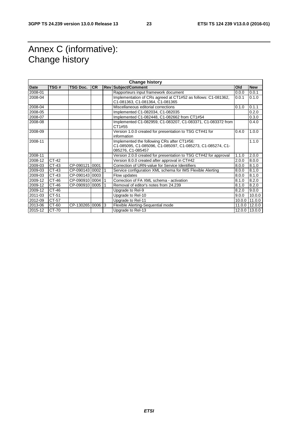## Annex C (informative): Change history

| <b>Change history</b> |         |                  |           |  |                                                                                                                                |        |            |
|-----------------------|---------|------------------|-----------|--|--------------------------------------------------------------------------------------------------------------------------------|--------|------------|
| Date                  | TSG#    | <b>TSG Doc.</b>  | <b>CR</b> |  | <b>Rev Subject/Comment</b>                                                                                                     | Old    | <b>New</b> |
| 2008-01               |         |                  |           |  | Rapporteurs input framework document                                                                                           | 0.0.0  | 0.0.1      |
| 2008-04               |         |                  |           |  | Implementation of CRs agreed at CT1#52 as follows: C1-081362,<br>C1-081363, C1-081364, C1-081365                               | 0.0.1  | 0.1.0      |
| 2008-04               |         |                  |           |  | Miscellaneous editorial corrections                                                                                            | 0.1.0  | 0.1.1      |
| 2008-05               |         |                  |           |  | Implemented C1-082034, C1-082035                                                                                               |        | 0.2.0      |
| 2008-07               |         |                  |           |  | Implemented C1-082448, C1-082662 from CT1#54                                                                                   |        | 0.3.0      |
| 2008-08               |         |                  |           |  | Implemented C1-082959, C1-083207, C1-083371, C1-083372 from<br>CT1#55                                                          |        | 0.4.0      |
| 2008-09               |         |                  |           |  | Version 1.0.0 created for presentation to TSG CT#41 for<br>information                                                         | 0.4.0  | 1.0.0      |
| 2008-11               |         |                  |           |  | Implemented the following CRs after CT1#56:<br>C1-085095, C1-085096, C1-085097, C1-085273, C1-085274, C1-<br>085276, C1-085457 |        | 1.1.0      |
| 2008-11               |         |                  |           |  | Version 2.0.0 created for presentation to TSG CT#42 for approval                                                               | 1.1.0  | 2.0.0      |
| 2008-12               | CT-42   |                  |           |  | Version 8.0.0 created after approval in CT#42                                                                                  | 2.0.0  | 8.0.0      |
| 2009-03               | $CT-43$ | CP-090121 0001   |           |  | Correction of URN-value for Service Identifiers                                                                                | 8.0.0  | 8.1.0      |
| 2009-03               | CT-43   | CP-090143 0002   |           |  | Service configuration XML schema for IMS Flexible Alerting                                                                     | 8.0.0  | 8.1.0      |
| 2009-03               | CT-43   | CP-090143 0003   |           |  | Flow updates                                                                                                                   | 8.0.0  | 8.1.0      |
| 2009-12               | CT-46   | CP-090910 0004   |           |  | Correction of FA XML schema - activation                                                                                       | 8.1.0  | 8.2.0      |
| 2009-12               | CT-46   | CP-090910 0005   |           |  | Removal of editor's notes from 24.239                                                                                          | 8.1.0  | 8.2.0      |
| 2009-12               | CT-46   |                  |           |  | Upgrade to Rel-9                                                                                                               | 8.2.0  | 9.0.0      |
| 2011-03               | CT-51   |                  |           |  | Upgrade to Rel-10                                                                                                              | 9.0.0  | 10.0.0     |
| 2012-09               | CT-57   |                  |           |  | Upgrade to Rel-11                                                                                                              | 10.0.0 | 11.0.0     |
| 2013-06               | CT-60   | CP-130265 0006 3 |           |  | Flexible Alerting-Sequential mode                                                                                              | 11.0.0 | 12.0.0     |
| 2015-12               | CT-70   |                  |           |  | Upgrade to Rel-13                                                                                                              | 12.0.0 | 13.0.0     |